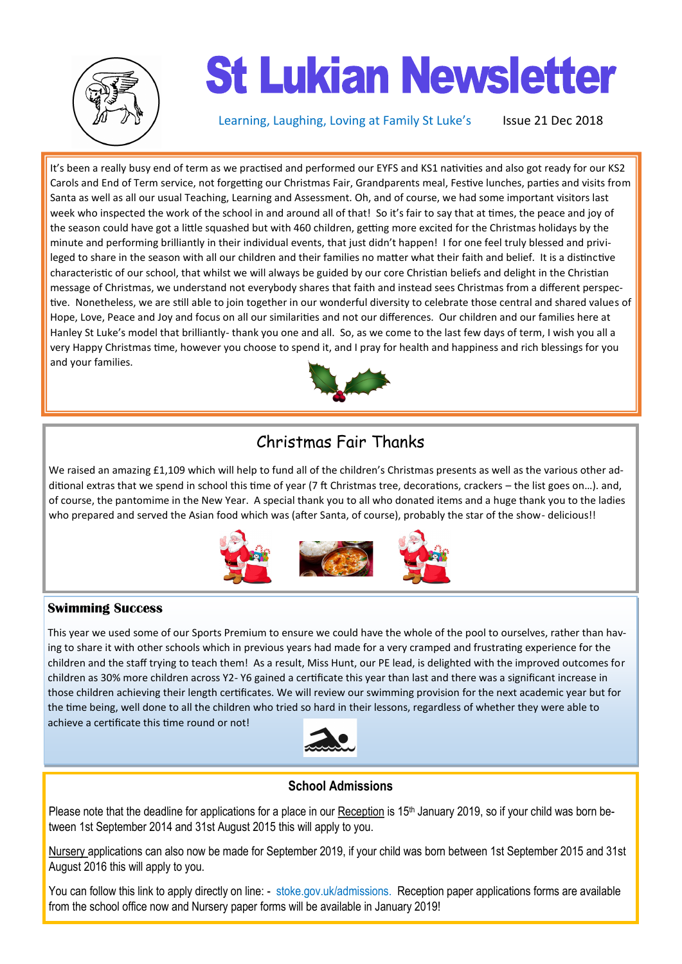

# **St Lukian Newsletter**

Learning, Laughing, Loving at Family St Luke's Issue 21 Dec 2018

It's been a really busy end of term as we practised and performed our EYFS and KS1 nativities and also got ready for our KS2 Carols and End of Term service, not forgetting our Christmas Fair, Grandparents meal, Festive lunches, parties and visits from Santa as well as all our usual Teaching, Learning and Assessment. Oh, and of course, we had some important visitors last week who inspected the work of the school in and around all of that! So it's fair to say that at times, the peace and joy of the season could have got a little squashed but with 460 children, getting more excited for the Christmas holidays by the minute and performing brilliantly in their individual events, that just didn't happen! I for one feel truly blessed and privileged to share in the season with all our children and their families no matter what their faith and belief. It is a distinctive characteristic of our school, that whilst we will always be guided by our core Christian beliefs and delight in the Christian message of Christmas, we understand not everybody shares that faith and instead sees Christmas from a different perspective. Nonetheless, we are still able to join together in our wonderful diversity to celebrate those central and shared values of Hope, Love, Peace and Joy and focus on all our similarities and not our differences. Our children and our families here at Hanley St Luke's model that brilliantly- thank you one and all. So, as we come to the last few days of term, I wish you all a very Happy Christmas time, however you choose to spend it, and I pray for health and happiness and rich blessings for you and your families.



# Christmas Fair Thanks

We raised an amazing £1,109 which will help to fund all of the children's Christmas presents as well as the various other additional extras that we spend in school this time of year (7 ft Christmas tree, decorations, crackers – the list goes on…). and, of course, the pantomime in the New Year. A special thank you to all who donated items and a huge thank you to the ladies who prepared and served the Asian food which was (after Santa, of course), probably the star of the show- delicious!!



## **Swimming Success**

This year we used some of our Sports Premium to ensure we could have the whole of the pool to ourselves, rather than having to share it with other schools which in previous years had made for a very cramped and frustrating experience for the children and the staff trying to teach them! As a result, Miss Hunt, our PE lead, is delighted with the improved outcomes for children as 30% more children across Y2- Y6 gained a certificate this year than last and there was a significant increase in those children achieving their length certificates. We will review our swimming provision for the next academic year but for the time being, well done to all the children who tried so hard in their lessons, regardless of whether they were able to achieve a certificate this time round or not!



## **School Admissions**

Please note that the deadline for applications for a place in our Reception is 15<sup>th</sup> January 2019, so if your child was born between 1st September 2014 and 31st August 2015 this will apply to you.

Nursery applications can also now be made for September 2019, if your child was born between 1st September 2015 and 31st August 2016 this will apply to you.

You can follow this link to apply directly on line: - stoke.gov.uk/admissions. Reception paper applications forms are available from the school office now and Nursery paper forms will be available in January 2019!